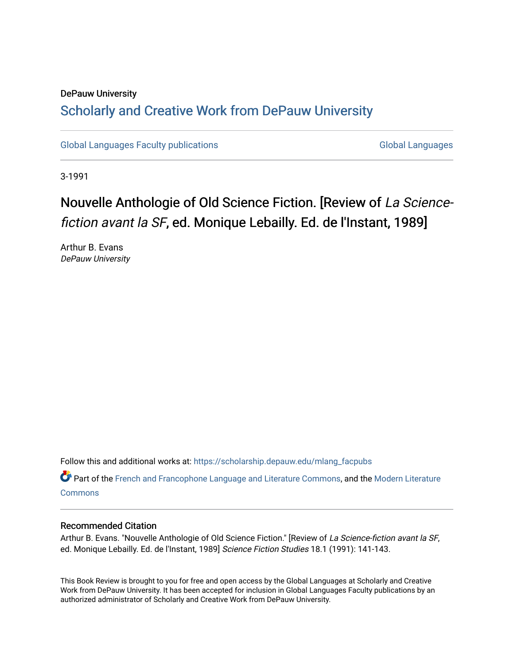### DePauw University Scholarly and [Creative Work from DePauw Univ](https://scholarship.depauw.edu/)ersity

[Global Languages Faculty publications](https://scholarship.depauw.edu/mlang_facpubs) [Global Languages](https://scholarship.depauw.edu/modernlanguages) Global Languages

3-1991

## Nouvelle Anthologie of Old Science Fiction. [Review of La Sciencefiction avant la SF, ed. Monique Lebailly. Ed. de l'Instant, 1989]

Arthur B. Evans DePauw University

Follow this and additional works at: [https://scholarship.depauw.edu/mlang\\_facpubs](https://scholarship.depauw.edu/mlang_facpubs?utm_source=scholarship.depauw.edu%2Fmlang_facpubs%2F40&utm_medium=PDF&utm_campaign=PDFCoverPages)

Part of the [French and Francophone Language and Literature Commons,](https://network.bepress.com/hgg/discipline/463?utm_source=scholarship.depauw.edu%2Fmlang_facpubs%2F40&utm_medium=PDF&utm_campaign=PDFCoverPages) and the [Modern Literature](https://network.bepress.com/hgg/discipline/1050?utm_source=scholarship.depauw.edu%2Fmlang_facpubs%2F40&utm_medium=PDF&utm_campaign=PDFCoverPages) **[Commons](https://network.bepress.com/hgg/discipline/1050?utm_source=scholarship.depauw.edu%2Fmlang_facpubs%2F40&utm_medium=PDF&utm_campaign=PDFCoverPages)** 

#### Recommended Citation

Arthur B. Evans. "Nouvelle Anthologie of Old Science Fiction." [Review of La Science-fiction avant la SF, ed. Monique Lebailly. Ed. de l'Instant, 1989] Science Fiction Studies 18.1 (1991): 141-143.

This Book Review is brought to you for free and open access by the Global Languages at Scholarly and Creative Work from DePauw University. It has been accepted for inclusion in Global Languages Faculty publications by an authorized administrator of Scholarly and Creative Work from DePauw University.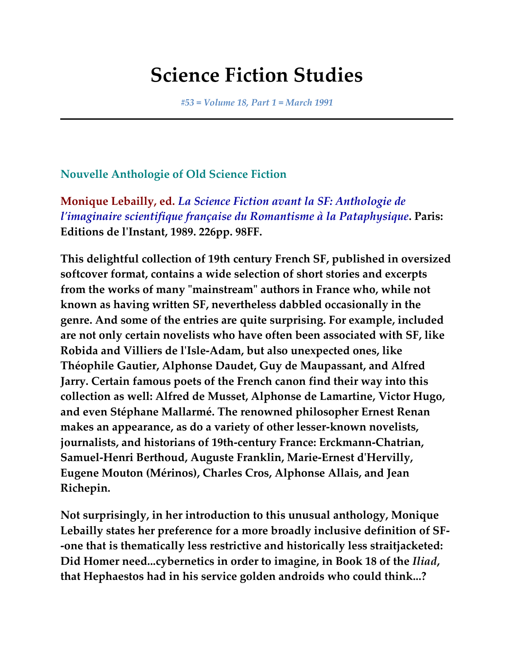# **Science Fiction Studies**

*#53 = Volume 18, Part 1 = March 1991*

### **Nouvelle Anthologie of Old Science Fiction**

**Monique Lebailly, ed.** *La Science Fiction avant la SF: Anthologie de l'imaginaire scientifique française du Romantisme à la Pataphysique***. Paris: Editions de l'Instant, 1989. 226pp. 98FF.**

**This delightful collection of 19th century French SF, published in oversized softcover format, contains a wide selection of short stories and excerpts from the works of many "mainstream" authors in France who, while not known as having written SF, nevertheless dabbled occasionally in the genre. And some of the entries are quite surprising. For example, included are not only certain novelists who have often been associated with SF, like Robida and Villiers de l'Isle-Adam, but also unexpected ones, like Théophile Gautier, Alphonse Daudet, Guy de Maupassant, and Alfred Jarry. Certain famous poets of the French canon find their way into this collection as well: Alfred de Musset, Alphonse de Lamartine, Victor Hugo, and even Stéphane Mallarmé. The renowned philosopher Ernest Renan makes an appearance, as do a variety of other lesser-known novelists, journalists, and historians of 19th-century France: Erckmann-Chatrian, Samuel-Henri Berthoud, Auguste Franklin, Marie-Ernest d'Hervilly, Eugene Mouton (Mérinos), Charles Cros, Alphonse Allais, and Jean Richepin.**

**Not surprisingly, in her introduction to this unusual anthology, Monique Lebailly states her preference for a more broadly inclusive definition of SF- -one that is thematically less restrictive and historically less straitjacketed: Did Homer need...cybernetics in order to imagine, in Book 18 of the** *Iliad***, that Hephaestos had in his service golden androids who could think...?**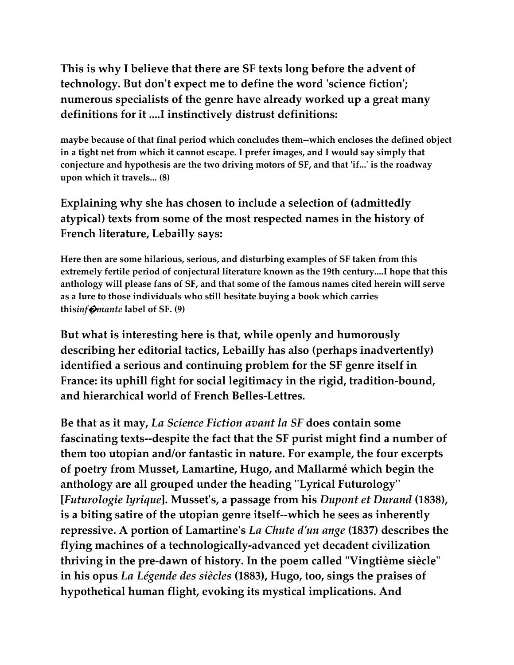### **This is why I believe that there are SF texts long before the advent of technology. But don't expect me to define the word 'science fiction'; numerous specialists of the genre have already worked up a great many definitions for it ....I instinctively distrust definitions:**

**maybe because of that final period which concludes them--which encloses the defined object in a tight net from which it cannot escape. I prefer images, and I would say simply that conjecture and hypothesis are the two driving motors of SF, and that 'if...' is the roadway upon which it travels... (8)**

### **Explaining why she has chosen to include a selection of (admittedly atypical) texts from some of the most respected names in the history of French literature, Lebailly says:**

**Here then are some hilarious, serious, and disturbing examples of SF taken from this extremely fertile period of conjectural literature known as the 19th century....I hope that this anthology will please fans of SF, and that some of the famous names cited herein will serve as a lure to those individuals who still hesitate buying a book which carries this***inf***�***mante* **label of SF. (9)**

**But what is interesting here is that, while openly and humorously describing her editorial tactics, Lebailly has also (perhaps inadvertently) identified a serious and continuing problem for the SF genre itself in France: its uphill fight for social legitimacy in the rigid, tradition-bound, and hierarchical world of French Belles-Lettres.**

**Be that as it may,** *La Science Fiction avant la SF* **does contain some fascinating texts--despite the fact that the SF purist might find a number of them too utopian and/or fantastic in nature. For example, the four excerpts of poetry from Musset, Lamartine, Hugo, and Mallarmé which begin the anthology are all grouped under the heading ''Lyrical Futurology'' [***Futurologie lyrique***]. Musset's, a passage from his** *Dupont et Durand* **(1838), is a biting satire of the utopian genre itself--which he sees as inherently repressive. A portion of Lamartine's** *La Chute d'un ange* **(1837) describes the flying machines of a technologically-advanced yet decadent civilization thriving in the pre-dawn of history. In the poem called "Vingtième siècle" in his opus** *La Légende des siècles* **(1883), Hugo, too, sings the praises of hypothetical human flight, evoking its mystical implications. And**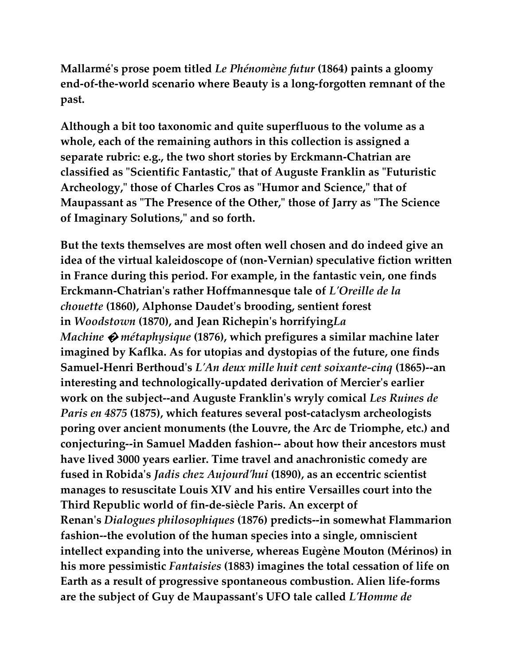**Mallarmé's prose poem titled** *Le Phénomène futur* **(1864) paints a gloomy end-of-the-world scenario where Beauty is a long-forgotten remnant of the past.**

**Although a bit too taxonomic and quite superfluous to the volume as a whole, each of the remaining authors in this collection is assigned a separate rubric: e.g., the two short stories by Erckmann-Chatrian are classified as "Scientific Fantastic," that of Auguste Franklin as "Futuristic Archeology," those of Charles Cros as "Humor and Science," that of Maupassant as "The Presence of the Other," those of Jarry as "The Science of Imaginary Solutions," and so forth.**

**But the texts themselves are most often well chosen and do indeed give an idea of the virtual kaleidoscope of (non-Vernian) speculative fiction written in France during this period. For example, in the fantastic vein, one finds Erckmann-Chatrian's rather Hoffmannesque tale of** *L'Oreille de la chouette* **(1860), Alphonse Daudet's brooding, sentient forest in** *Woodstown* **(1870), and Jean Richepin's horrifying***La Machine* **�** *métaphysique* **(1876), which prefigures a similar machine later imagined by Kaflka. As for utopias and dystopias of the future, one finds Samuel-Henri Berthoud's** *L'An deux mille huit cent soixante-cinq* **(1865)--an interesting and technologically-updated derivation of Mercier's earlier work on the subject--and Auguste Franklin's wryly comical** *Les Ruines de Paris en 4875* **(1875), which features several post-cataclysm archeologists poring over ancient monuments (the Louvre, the Arc de Triomphe, etc.) and conjecturing--in Samuel Madden fashion-- about how their ancestors must have lived 3000 years earlier. Time travel and anachronistic comedy are fused in Robida's** *Jadis chez Aujourd'hui* **(1890), as an eccentric scientist manages to resuscitate Louis XIV and his entire Versailles court into the Third Republic world of fin-de-siècle Paris. An excerpt of Renan's** *Dialogues philosophiques* **(1876) predicts--in somewhat Flammarion fashion--the evolution of the human species into a single, omniscient intellect expanding into the universe, whereas Eugène Mouton (Mérinos) in his more pessimistic** *Fantaisies* **(1883) imagines the total cessation of life on Earth as a result of progressive spontaneous combustion. Alien life-forms are the subject of Guy de Maupassant's UFO tale called** *L'Homme de*